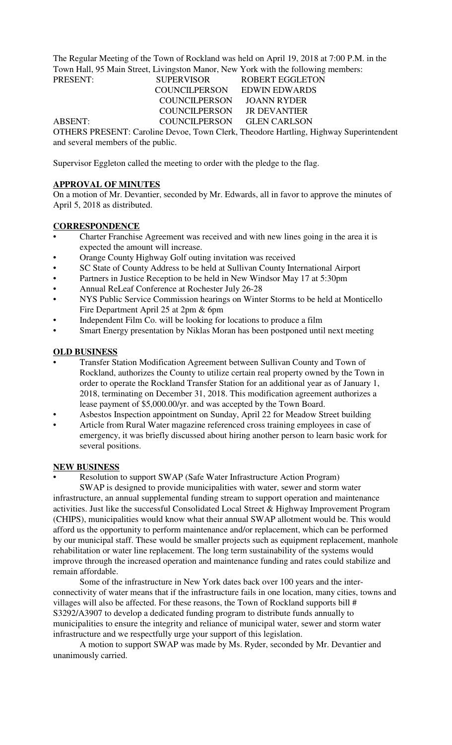The Regular Meeting of the Town of Rockland was held on April 19, 2018 at 7:00 P.M. in the Town Hall, 95 Main Street, Livingston Manor, New York with the following members:

PRESENT: SUPERVISOR ROBERT EGGLETON COUNCILPERSON EDWIN EDWARDS COUNCILPERSON JOANN RYDER COUNCILPERSON JR DEVANTIER ABSENT: COUNCILPERSON GLEN CARLSON

OTHERS PRESENT: Caroline Devoe, Town Clerk, Theodore Hartling, Highway Superintendent and several members of the public.

Supervisor Eggleton called the meeting to order with the pledge to the flag.

# **APPROVAL OF MINUTES**

On a motion of Mr. Devantier, seconded by Mr. Edwards, all in favor to approve the minutes of April 5, 2018 as distributed.

# **CORRESPONDENCE**

- Charter Franchise Agreement was received and with new lines going in the area it is expected the amount will increase.
- Orange County Highway Golf outing invitation was received
- SC State of County Address to be held at Sullivan County International Airport
- Partners in Justice Reception to be held in New Windsor May 17 at 5:30pm
- Annual ReLeaf Conference at Rochester July 26-28
- NYS Public Service Commission hearings on Winter Storms to be held at Monticello Fire Department April 25 at 2pm & 6pm
- Independent Film Co. will be looking for locations to produce a film
- Smart Energy presentation by Niklas Moran has been postponed until next meeting

# **OLD BUSINESS**

- Transfer Station Modification Agreement between Sullivan County and Town of Rockland, authorizes the County to utilize certain real property owned by the Town in order to operate the Rockland Transfer Station for an additional year as of January 1, 2018, terminating on December 31, 2018. This modification agreement authorizes a lease payment of \$5,000.00/yr. and was accepted by the Town Board.
- Asbestos Inspection appointment on Sunday, April 22 for Meadow Street building
- Article from Rural Water magazine referenced cross training employees in case of emergency, it was briefly discussed about hiring another person to learn basic work for several positions.

## **NEW BUSINESS**

• Resolution to support SWAP (Safe Water Infrastructure Action Program)

SWAP is designed to provide municipalities with water, sewer and storm water infrastructure, an annual supplemental funding stream to support operation and maintenance activities. Just like the successful Consolidated Local Street & Highway Improvement Program (CHIPS), municipalities would know what their annual SWAP allotment would be. This would afford us the opportunity to perform maintenance and/or replacement, which can be performed by our municipal staff. These would be smaller projects such as equipment replacement, manhole rehabilitation or water line replacement. The long term sustainability of the systems would improve through the increased operation and maintenance funding and rates could stabilize and remain affordable.

Some of the infrastructure in New York dates back over 100 years and the interconnectivity of water means that if the infrastructure fails in one location, many cities, towns and villages will also be affected. For these reasons, the Town of Rockland supports bill # S3292/A3907 to develop a dedicated funding program to distribute funds annually to municipalities to ensure the integrity and reliance of municipal water, sewer and storm water infrastructure and we respectfully urge your support of this legislation.

A motion to support SWAP was made by Ms. Ryder, seconded by Mr. Devantier and unanimously carried.